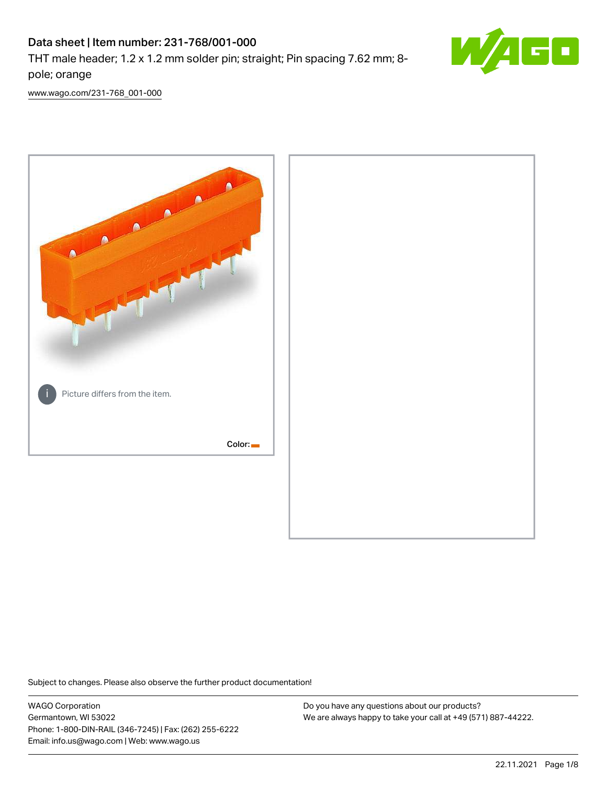# Data sheet | Item number: 231-768/001-000

THT male header; 1.2 x 1.2 mm solder pin; straight; Pin spacing 7.62 mm; 8 pole; orange



[www.wago.com/231-768\\_001-000](http://www.wago.com/231-768_001-000)



Subject to changes. Please also observe the further product documentation!

WAGO Corporation Germantown, WI 53022 Phone: 1-800-DIN-RAIL (346-7245) | Fax: (262) 255-6222 Email: info.us@wago.com | Web: www.wago.us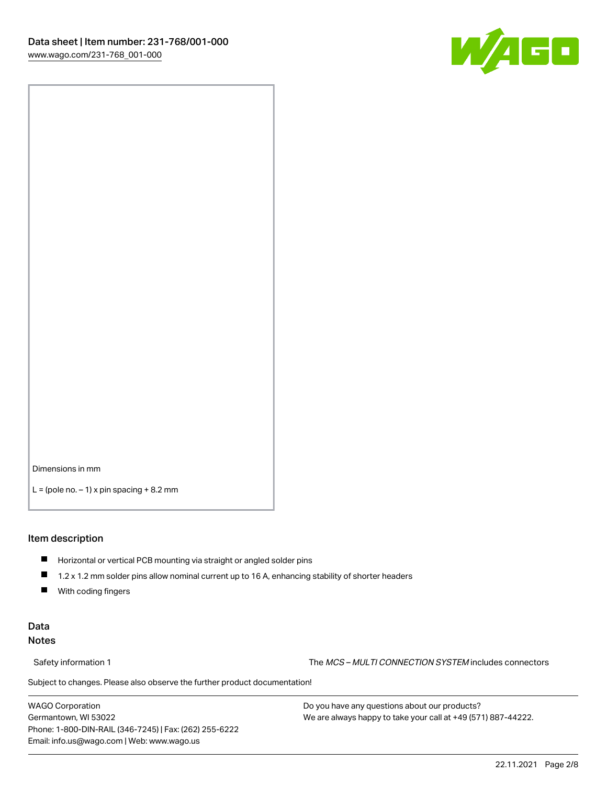

Dimensions in mm

 $L =$  (pole no.  $-1$ ) x pin spacing  $+8.2$  mm

#### Item description

- **Horizontal or vertical PCB mounting via straight or angled solder pins**
- 1.2 x 1.2 mm solder pins allow nominal current up to 16 A, enhancing stability of shorter headers
- $\blacksquare$ With coding fingers

## Data Notes

Safety information 1 The MCS – MULTI CONNECTION SYSTEM includes connectors

Subject to changes. Please also observe the further product documentation!  $\nu$ 

WAGO Corporation Germantown, WI 53022 Phone: 1-800-DIN-RAIL (346-7245) | Fax: (262) 255-6222 Email: info.us@wago.com | Web: www.wago.us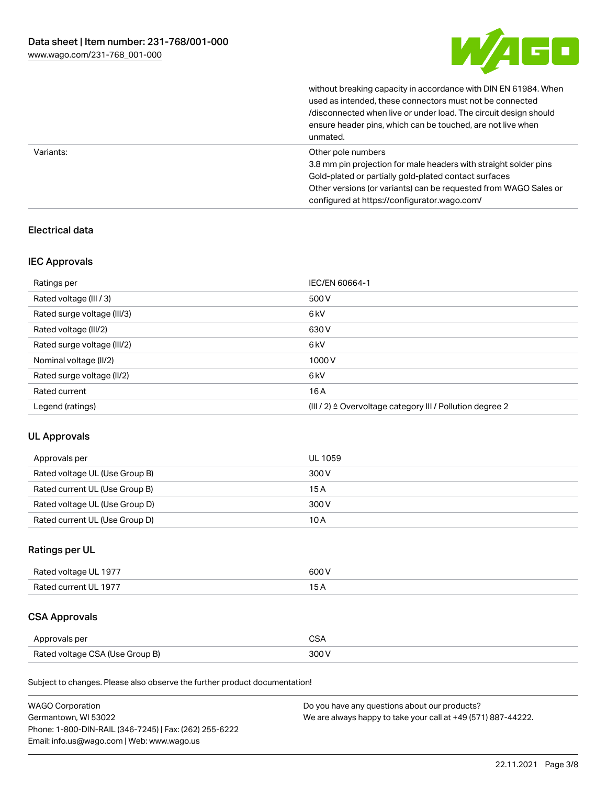

without breaking capacity in accordance with DIN EN 61984. When

|           | used as intended, these connectors must not be connected<br>/disconnected when live or under load. The circuit design should<br>ensure header pins, which can be touched, are not live when<br>unmated.                                                             |
|-----------|---------------------------------------------------------------------------------------------------------------------------------------------------------------------------------------------------------------------------------------------------------------------|
| Variants: | Other pole numbers<br>3.8 mm pin projection for male headers with straight solder pins<br>Gold-plated or partially gold-plated contact surfaces<br>Other versions (or variants) can be requested from WAGO Sales or<br>configured at https://configurator.wago.com/ |

# Electrical data

## IEC Approvals

| Ratings per                 | IEC/EN 60664-1                                                        |
|-----------------------------|-----------------------------------------------------------------------|
| Rated voltage (III / 3)     | 500 V                                                                 |
| Rated surge voltage (III/3) | 6 <sub>kV</sub>                                                       |
| Rated voltage (III/2)       | 630 V                                                                 |
| Rated surge voltage (III/2) | 6 <sub>kV</sub>                                                       |
| Nominal voltage (II/2)      | 1000V                                                                 |
| Rated surge voltage (II/2)  | 6 <sub>kV</sub>                                                       |
| Rated current               | 16A                                                                   |
| Legend (ratings)            | $(III / 2)$ $\triangle$ Overvoltage category III / Pollution degree 2 |

## UL Approvals

| Approvals per                  | UL 1059 |
|--------------------------------|---------|
| Rated voltage UL (Use Group B) | 300 V   |
| Rated current UL (Use Group B) | 15 A    |
| Rated voltage UL (Use Group D) | 300 V   |
| Rated current UL (Use Group D) | 10 A    |

# Ratings per UL

| Rated voltage UL 1977 | 600 V |
|-----------------------|-------|
| Rated current UL 1977 |       |

# CSA Approvals

| Approvals per                   | ~~    |
|---------------------------------|-------|
| Rated voltage CSA (Use Group B) | 3UU 1 |

Subject to changes. Please also observe the further product documentation!

| <b>WAGO Corporation</b>                                | Do you have any questions about our products?                 |
|--------------------------------------------------------|---------------------------------------------------------------|
| Germantown, WI 53022                                   | We are always happy to take your call at +49 (571) 887-44222. |
| Phone: 1-800-DIN-RAIL (346-7245)   Fax: (262) 255-6222 |                                                               |
| Email: info.us@wago.com   Web: www.wago.us             |                                                               |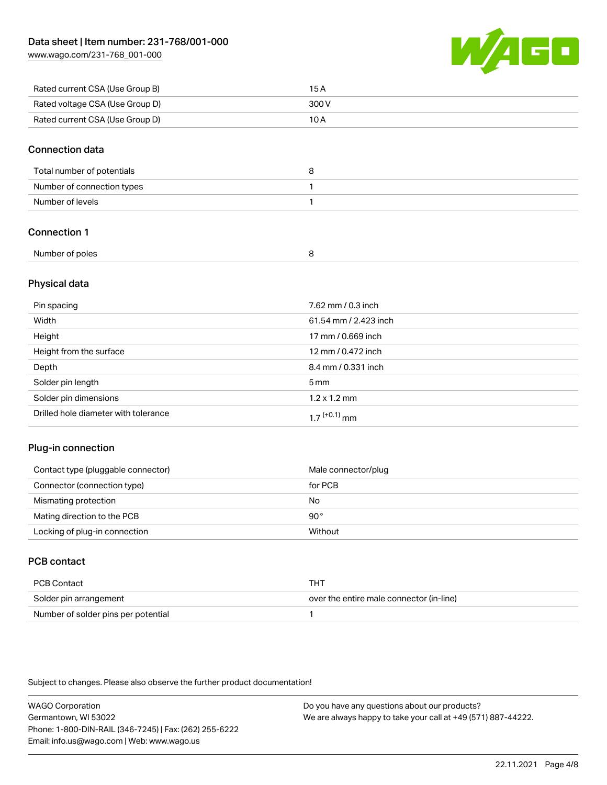[www.wago.com/231-768\\_001-000](http://www.wago.com/231-768_001-000)



| Rated current CSA (Use Group B) | 15 A  |
|---------------------------------|-------|
| Rated voltage CSA (Use Group D) | 300 V |
| Rated current CSA (Use Group D) | 10 A  |

#### Connection data

| Total number of potentials |  |
|----------------------------|--|
| Number of connection types |  |
| Number of levels           |  |

# Connection 1

| Number of poles |  |
|-----------------|--|
|                 |  |

## Physical data

| Pin spacing                          | 7.62 mm / 0.3 inch    |
|--------------------------------------|-----------------------|
| Width                                | 61.54 mm / 2.423 inch |
| Height                               | 17 mm / 0.669 inch    |
| Height from the surface              | 12 mm / 0.472 inch    |
| Depth                                | 8.4 mm / 0.331 inch   |
| Solder pin length                    | $5 \,\mathrm{mm}$     |
| Solder pin dimensions                | $1.2 \times 1.2$ mm   |
| Drilled hole diameter with tolerance | $17^{(+0.1)}$ mm      |

## Plug-in connection

| Contact type (pluggable connector) | Male connector/plug |
|------------------------------------|---------------------|
| Connector (connection type)        | for PCB             |
| Mismating protection               | No                  |
| Mating direction to the PCB        | 90°                 |
| Locking of plug-in connection      | Without             |

# PCB contact

| PCB Contact                         | THT                                      |
|-------------------------------------|------------------------------------------|
| Solder pin arrangement              | over the entire male connector (in-line) |
| Number of solder pins per potential |                                          |

Subject to changes. Please also observe the further product documentation!

WAGO Corporation Germantown, WI 53022 Phone: 1-800-DIN-RAIL (346-7245) | Fax: (262) 255-6222 Email: info.us@wago.com | Web: www.wago.us Do you have any questions about our products? We are always happy to take your call at +49 (571) 887-44222.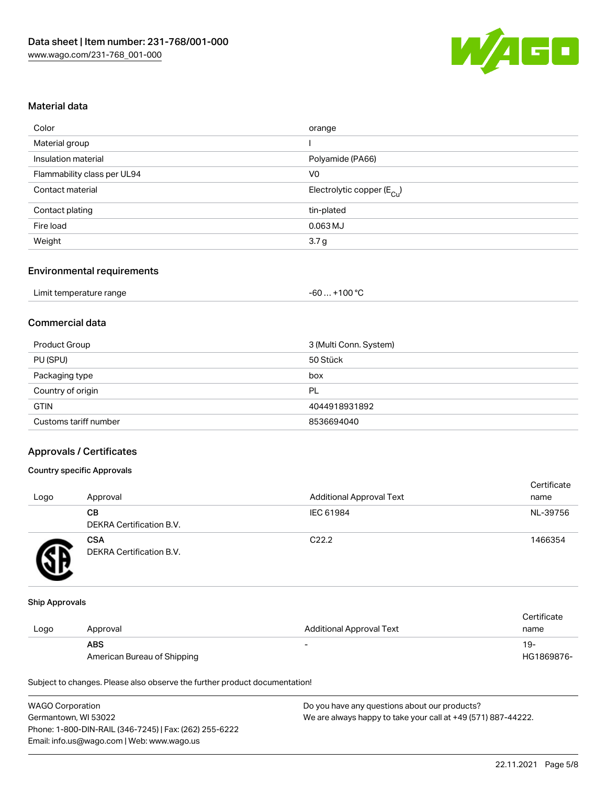

#### Material data

| Color                       | orange                                 |
|-----------------------------|----------------------------------------|
| Material group              |                                        |
| Insulation material         | Polyamide (PA66)                       |
| Flammability class per UL94 | V0                                     |
| Contact material            | Electrolytic copper (E <sub>Cu</sub> ) |
| Contact plating             | tin-plated                             |
| Fire load                   | $0.063$ MJ                             |
| Weight                      | 3.7 <sub>g</sub>                       |
|                             |                                        |

## Environmental requirements

| Limit temperature range | $+100 °C$<br>-60 |
|-------------------------|------------------|
|-------------------------|------------------|

# Commercial data

| Product Group         | 3 (Multi Conn. System) |
|-----------------------|------------------------|
| PU (SPU)              | 50 Stück               |
| Packaging type        | box                    |
| Country of origin     | PL                     |
| <b>GTIN</b>           | 4044918931892          |
| Customs tariff number | 8536694040             |

#### Approvals / Certificates

#### Country specific Approvals

| Logo | Approval                               | <b>Additional Approval Text</b> | Certificate<br>name |
|------|----------------------------------------|---------------------------------|---------------------|
|      | CВ<br><b>DEKRA Certification B.V.</b>  | IEC 61984                       | NL-39756            |
|      | <b>CSA</b><br>DEKRA Certification B.V. | C <sub>22.2</sub>               | 1466354             |

#### Ship Approvals

|      |                             |                          | Certificate |
|------|-----------------------------|--------------------------|-------------|
| Logo | Approval                    | Additional Approval Text | name        |
|      | <b>ABS</b>                  |                          | 19-         |
|      | American Bureau of Shipping |                          | HG1869876-  |

Subject to changes. Please also observe the further product documentation!

| <b>WAGO Corporation</b>                                | Do you have any questions about our products?                 |
|--------------------------------------------------------|---------------------------------------------------------------|
| Germantown, WI 53022                                   | We are always happy to take your call at +49 (571) 887-44222. |
| Phone: 1-800-DIN-RAIL (346-7245)   Fax: (262) 255-6222 |                                                               |
| Email: info.us@wago.com   Web: www.wago.us             |                                                               |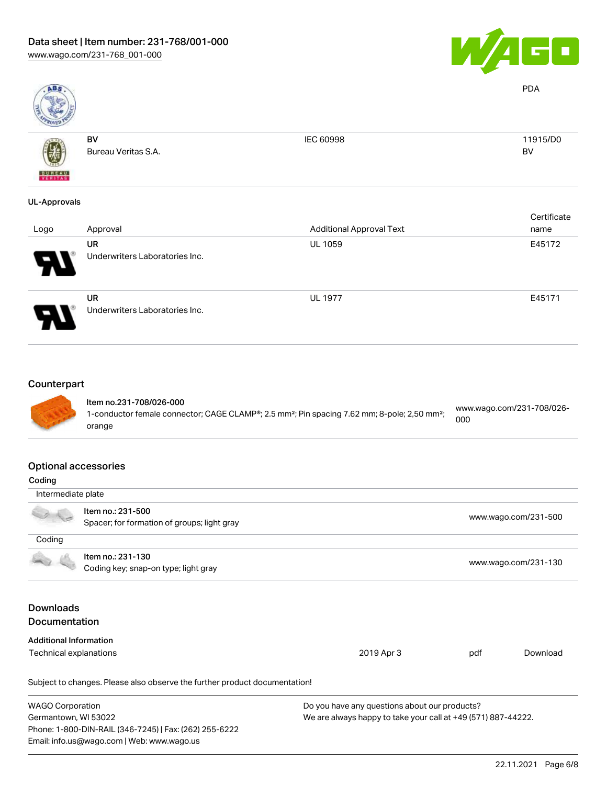

PDA

BV



BV

Bureau Veritas S.A.

IEC 60998 11915/D0

# UL-Approvals

| Logo                       | Approval                                    | <b>Additional Approval Text</b> | Certificate<br>name |
|----------------------------|---------------------------------------------|---------------------------------|---------------------|
| 8                          | UR<br>Underwriters Laboratories Inc.        | <b>UL 1059</b>                  | E45172              |
| $\boldsymbol{\mathcal{A}}$ | <b>UR</b><br>Underwriters Laboratories Inc. | <b>UL 1977</b>                  | E45171              |

# **Counterpart**



#### Item no.231-708/026-000 1-conductor female connector; CAGE CLAMP®; 2.5 mm²; Pin spacing 7.62 mm; 8-pole; 2,50 mm²; orange [www.wago.com/231-708/026-](https://www.wago.com/231-708/026-000) [000](https://www.wago.com/231-708/026-000)

#### Optional accessories

| Coding                                   |                                                                            |                                                               |                      |                      |  |
|------------------------------------------|----------------------------------------------------------------------------|---------------------------------------------------------------|----------------------|----------------------|--|
|                                          |                                                                            |                                                               |                      |                      |  |
| Intermediate plate                       |                                                                            |                                                               |                      |                      |  |
|                                          | Item no.: 231-500                                                          |                                                               |                      |                      |  |
|                                          | Spacer; for formation of groups; light gray                                |                                                               |                      | www.wago.com/231-500 |  |
| Coding                                   |                                                                            |                                                               |                      |                      |  |
|                                          | Item no.: 231-130                                                          |                                                               |                      |                      |  |
| Coding key; snap-on type; light gray     |                                                                            |                                                               | www.wago.com/231-130 |                      |  |
| <b>Downloads</b><br><b>Documentation</b> |                                                                            |                                                               |                      |                      |  |
| <b>Additional Information</b>            |                                                                            |                                                               |                      |                      |  |
| Technical explanations                   |                                                                            | 2019 Apr 3                                                    | pdf                  | Download             |  |
|                                          | Subject to changes. Please also observe the further product documentation! |                                                               |                      |                      |  |
| <b>WAGO Corporation</b>                  |                                                                            | Do you have any questions about our products?                 |                      |                      |  |
| Germantown, WI 53022                     |                                                                            | We are always happy to take your call at +49 (571) 887-44222. |                      |                      |  |
|                                          | Phone: 1-800-DIN-RAIL (346-7245)   Fax: (262) 255-6222                     |                                                               |                      |                      |  |
|                                          | Email: info.us@wago.com   Web: www.wago.us                                 |                                                               |                      |                      |  |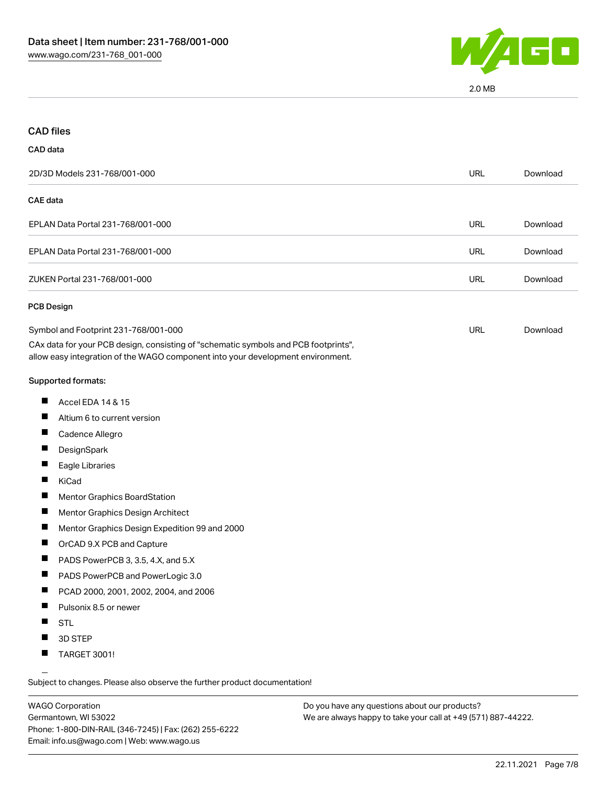

2.0 MB

| <b>CAD files</b>                                                                                                                                                                                               |            |          |
|----------------------------------------------------------------------------------------------------------------------------------------------------------------------------------------------------------------|------------|----------|
| CAD data                                                                                                                                                                                                       |            |          |
| 2D/3D Models 231-768/001-000                                                                                                                                                                                   | <b>URL</b> | Download |
| CAE data                                                                                                                                                                                                       |            |          |
| EPLAN Data Portal 231-768/001-000                                                                                                                                                                              | <b>URL</b> | Download |
| EPLAN Data Portal 231-768/001-000                                                                                                                                                                              | <b>URL</b> | Download |
| ZUKEN Portal 231-768/001-000                                                                                                                                                                                   | <b>URL</b> | Download |
| <b>PCB Design</b>                                                                                                                                                                                              |            |          |
| Symbol and Footprint 231-768/001-000<br>CAx data for your PCB design, consisting of "schematic symbols and PCB footprints",<br>allow easy integration of the WAGO component into your development environment. | URL        | Download |
| Supported formats:                                                                                                                                                                                             |            |          |
| ш<br>Accel EDA 14 & 15                                                                                                                                                                                         |            |          |
| Altium 6 to current version                                                                                                                                                                                    |            |          |
| Ш<br>Cadence Allegro                                                                                                                                                                                           |            |          |
| ш<br>DesignSpark                                                                                                                                                                                               |            |          |
| Eagle Libraries                                                                                                                                                                                                |            |          |
| ш<br>KiCad                                                                                                                                                                                                     |            |          |
| ш<br>Mentor Graphics BoardStation                                                                                                                                                                              |            |          |
| Mentor Graphics Design Architect                                                                                                                                                                               |            |          |
| ш<br>Mentor Graphics Design Expedition 99 and 2000                                                                                                                                                             |            |          |
| ш<br>OrCAD 9.X PCB and Capture                                                                                                                                                                                 |            |          |
| ш<br>PADS PowerPCB 3, 3.5, 4.X, and 5.X                                                                                                                                                                        |            |          |
| PADS PowerPCB and PowerLogic 3.0<br>ш                                                                                                                                                                          |            |          |
| PCAD 2000, 2001, 2002, 2004, and 2006                                                                                                                                                                          |            |          |
| Pulsonix 8.5 or newer                                                                                                                                                                                          |            |          |
| ш<br><b>STL</b>                                                                                                                                                                                                |            |          |
| 3D STEP                                                                                                                                                                                                        |            |          |
| TARGET 3001!<br>ш                                                                                                                                                                                              |            |          |

Subject to changes. Please also observe the further product documentation!

WAGO Corporation Germantown, WI 53022 Phone: 1-800-DIN-RAIL (346-7245) | Fax: (262) 255-6222 Email: info.us@wago.com | Web: www.wago.us